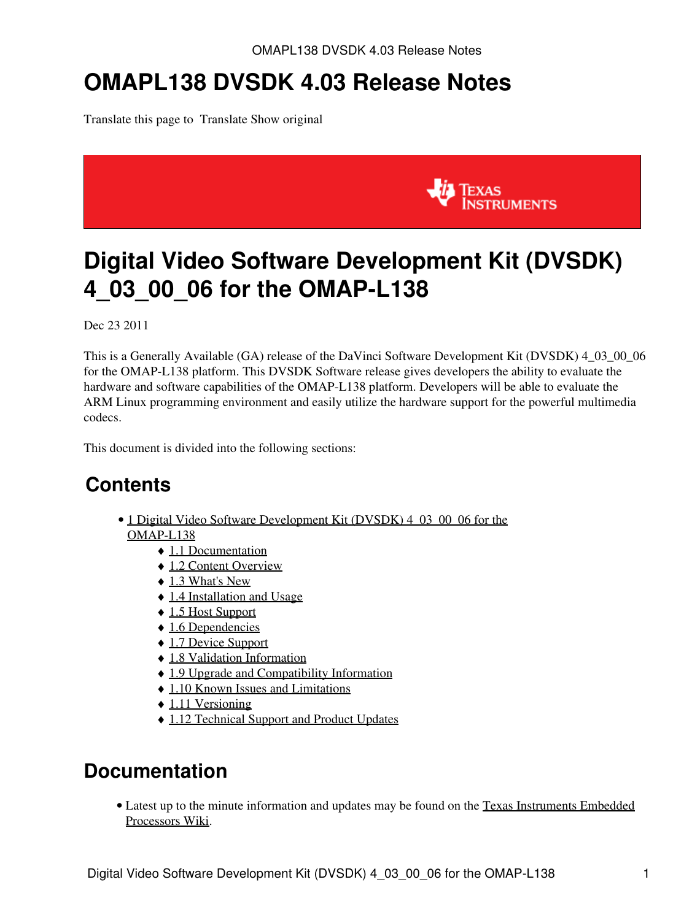# **OMAPL138 DVSDK 4.03 Release Notes**

Translate this page to Translate Show original



# <span id="page-0-0"></span>**Digital Video Software Development Kit (DVSDK) 4\_03\_00\_06 for the OMAP-L138**

Dec 23 2011

This is a Generally Available (GA) release of the DaVinci Software Development Kit (DVSDK) 4\_03\_00\_06 for the OMAP-L138 platform. This DVSDK Software release gives developers the ability to evaluate the hardware and software capabilities of the OMAP-L138 platform. Developers will be able to evaluate the ARM Linux programming environment and easily utilize the hardware support for the powerful multimedia codecs.

This document is divided into the following sections:

# **Contents**

- 1 Digital Video Software Development Kit (DVSDK) 4 03 00 06 for the [OMAP-L138](#page-0-0)
	- ♦ [1.1 Documentation](#page-0-1)
	- ◆ [1.2 Content Overview](#page-1-0)
	- $\triangleleft$  [1.3 What's New](#page-1-1)
	- ♦ [1.4 Installation and Usage](#page-2-0)
	- ♦ [1.5 Host Support](#page-2-1)
	- ◆ [1.6 Dependencies](#page-2-2)
	- ♦ [1.7 Device Support](#page-2-3)
	- ♦ [1.8 Validation Information](#page-2-4)
	- ♦ [1.9 Upgrade and Compatibility Information](#page-2-5)
	- ♦ [1.10 Known Issues and Limitations](#page-2-6)
	- $\triangleleft$  [1.11 Versioning](#page-3-0)
	- ♦ [1.12 Technical Support and Product Updates](#page-3-1)

# <span id="page-0-1"></span>**Documentation**

• Latest up to the minute information and updates may be found on the [Texas Instruments Embedded](http://processors.wiki.ti.com/index.php/Main_Page) [Processors Wiki.](http://processors.wiki.ti.com/index.php/Main_Page)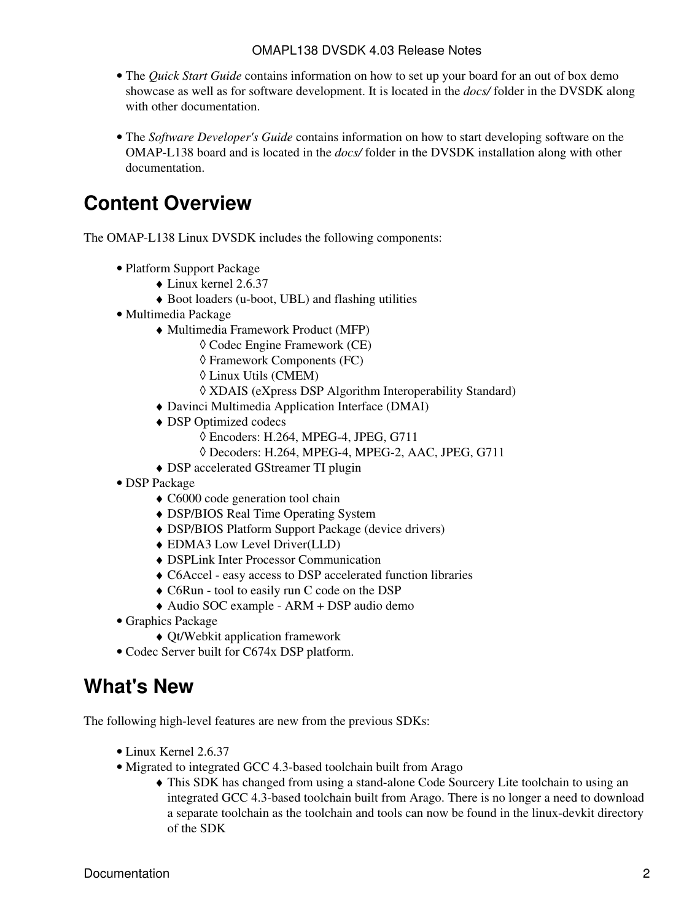- The *Quick Start Guide* contains information on how to set up your board for an out of box demo showcase as well as for software development. It is located in the *docs/* folder in the DVSDK along with other documentation.
- The *Software Developer's Guide* contains information on how to start developing software on the OMAP-L138 board and is located in the *docs/* folder in the DVSDK installation along with other documentation.

# <span id="page-1-0"></span>**Content Overview**

The OMAP-L138 Linux DVSDK includes the following components:

- Platform Support Package
	- $\triangle$  Linux kernel 2.6.37
	- ♦ Boot loaders (u-boot, UBL) and flashing utilities
- Multimedia Package
	- Multimedia Framework Product (MFP) ♦
		- ◊ Codec Engine Framework (CE)
		- ◊ Framework Components (FC)
		- ◊ Linux Utils (CMEM)
		- ◊ XDAIS (eXpress DSP Algorithm Interoperability Standard)
	- ♦ Davinci Multimedia Application Interface (DMAI)
	- DSP Optimized codecs ♦
		- ◊ Encoders: H.264, MPEG-4, JPEG, G711
		- ◊ Decoders: H.264, MPEG-4, MPEG-2, AAC, JPEG, G711
	- ♦ DSP accelerated GStreamer TI plugin
- DSP Package
	- ♦ C6000 code generation tool chain
	- ♦ DSP/BIOS Real Time Operating System
	- ♦ DSP/BIOS Platform Support Package (device drivers)
	- ♦ EDMA3 Low Level Driver(LLD)
	- ♦ DSPLink Inter Processor Communication
	- ♦ C6Accel easy access to DSP accelerated function libraries
	- ♦ C6Run tool to easily run C code on the DSP
	- ♦ Audio SOC example ARM + DSP audio demo
- Graphics Package
	- ♦ Qt/Webkit application framework
- Codec Server built for C674x DSP platform.

# <span id="page-1-1"></span>**What's New**

The following high-level features are new from the previous SDKs:

- Linux Kernel 2.6.37
- Migrated to integrated GCC 4.3-based toolchain built from Arago
	- This SDK has changed from using a stand-alone Code Sourcery Lite toolchain to using an ♦ integrated GCC 4.3-based toolchain built from Arago. There is no longer a need to download a separate toolchain as the toolchain and tools can now be found in the linux-devkit directory of the SDK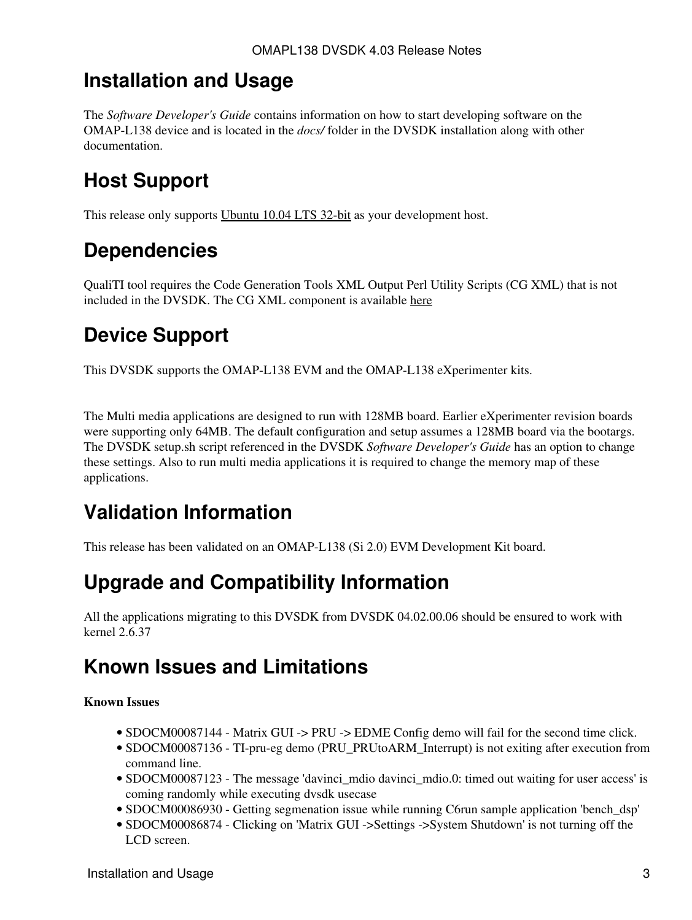#### <span id="page-2-0"></span>**Installation and Usage**

The *Software Developer's Guide* contains information on how to start developing software on the OMAP-L138 device and is located in the *docs/* folder in the DVSDK installation along with other documentation.

# <span id="page-2-1"></span>**Host Support**

This release only supports [Ubuntu 10.04 LTS 32-bit](http://www.ubuntu.com) as your development host.

# <span id="page-2-2"></span>**Dependencies**

QualiTI tool requires the Code Generation Tools XML Output Perl Utility Scripts (CG XML) that is not included in the DVSDK. The CG XML component is available [here](https://www-a.ti.com/downloads/sds_support/applications_packages/cg_xml/index.htm)

# <span id="page-2-3"></span>**Device Support**

This DVSDK supports the OMAP-L138 EVM and the OMAP-L138 eXperimenter kits.

The Multi media applications are designed to run with 128MB board. Earlier eXperimenter revision boards were supporting only 64MB. The default configuration and setup assumes a 128MB board via the bootargs. The DVSDK setup.sh script referenced in the DVSDK *Software Developer's Guide* has an option to change these settings. Also to run multi media applications it is required to change the memory map of these applications.

# <span id="page-2-4"></span>**Validation Information**

This release has been validated on an OMAP-L138 (Si 2.0) EVM Development Kit board.

# <span id="page-2-5"></span>**Upgrade and Compatibility Information**

All the applications migrating to this DVSDK from DVSDK 04.02.00.06 should be ensured to work with kernel 2.6.37

# <span id="page-2-6"></span>**Known Issues and Limitations**

#### **Known Issues**

- SDOCM00087144 Matrix GUI -> PRU -> EDME Config demo will fail for the second time click.
- SDOCM00087136 TI-pru-eg demo (PRU\_PRUtoARM\_Interrupt) is not exiting after execution from command line.
- SDOCM00087123 The message 'davinci\_mdio davinci\_mdio.0: timed out waiting for user access' is coming randomly while executing dvsdk usecase
- SDOCM00086930 Getting segmenation issue while running C6run sample application 'bench\_dsp'
- SDOCM00086874 Clicking on 'Matrix GUI ->Settings ->System Shutdown' is not turning off the LCD screen.